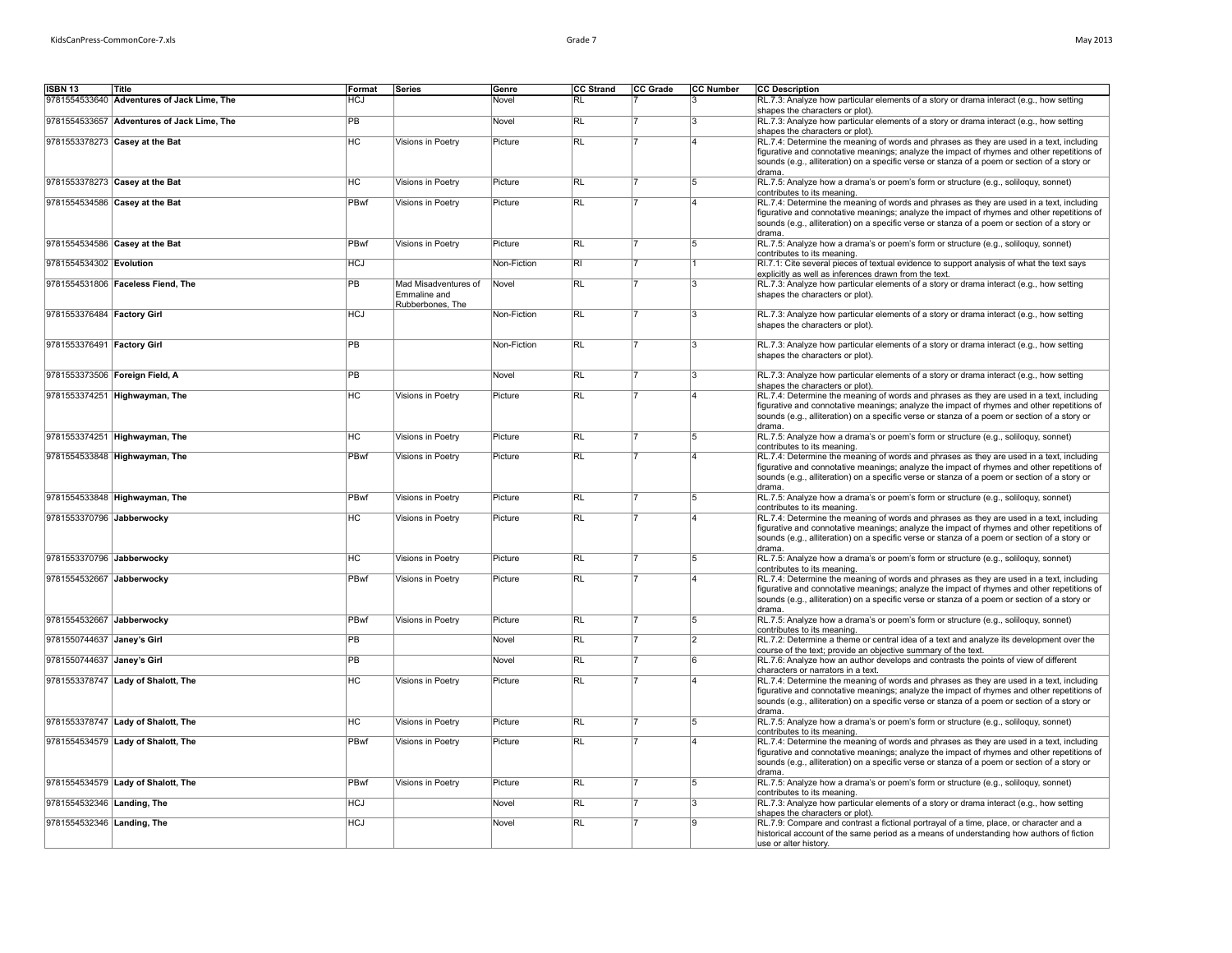| May 2013 |  |
|----------|--|
|          |  |

| ISBN 13                        | Title                                      | Format     | Series                           | Genre       | CC Strand               | CC Grade | <b>CC Number</b> | <b>CC</b> Description                                                                                                                                                                      |
|--------------------------------|--------------------------------------------|------------|----------------------------------|-------------|-------------------------|----------|------------------|--------------------------------------------------------------------------------------------------------------------------------------------------------------------------------------------|
|                                | 9781554533640 Adventures of Jack Lime, The | HCJ        |                                  | Novel       | <b>RL</b>               |          |                  | RL.7.3: Analyze how particular elements of a story or drama interact (e.g., how setting                                                                                                    |
|                                |                                            |            |                                  |             |                         |          |                  | shapes the characters or plot).                                                                                                                                                            |
|                                | 9781554533657 Adventures of Jack Lime, The | <b>PB</b>  |                                  | Novel       | R                       |          | 3                | RL.7.3: Analyze how particular elements of a story or drama interact (e.g., how setting<br>shapes the characters or plot).                                                                 |
|                                | 9781553378273 Casey at the Bat             | <b>HC</b>  | Visions in Poetry                | Picture     | RL                      |          | 14               | RL.7.4: Determine the meaning of words and phrases as they are used in a text, including                                                                                                   |
|                                |                                            |            |                                  |             |                         |          |                  | figurative and connotative meanings; analyze the impact of rhymes and other repetitions of                                                                                                 |
|                                |                                            |            |                                  |             |                         |          |                  | sounds (e.g., alliteration) on a specific verse or stanza of a poem or section of a story or<br>drama.                                                                                     |
|                                | 9781553378273 Casey at the Bat             | <b>HC</b>  | Visions in Poetry                | Picture     | RL                      |          | 5                | RL.7.5: Analyze how a drama's or poem's form or structure (e.g., soliloguy, sonnet)                                                                                                        |
|                                |                                            |            |                                  |             |                         |          |                  | contributes to its meaning.                                                                                                                                                                |
|                                | 9781554534586 Casey at the Bat             | PBwf       | Visions in Poetry                | Picture     | RL                      |          | 14               | RL.7.4: Determine the meaning of words and phrases as they are used in a text, including                                                                                                   |
|                                |                                            |            |                                  |             |                         |          |                  | figurative and connotative meanings; analyze the impact of rhymes and other repetitions of<br>sounds (e.g., alliteration) on a specific verse or stanza of a poem or section of a story or |
|                                |                                            |            |                                  |             |                         |          |                  | drama.                                                                                                                                                                                     |
|                                | 9781554534586 Casey at the Bat             | PBwf       | Visions in Poetry                | Picture     | RL                      |          | 5                | RL.7.5: Analyze how a drama's or poem's form or structure (e.g., soliloquy, sonnet)                                                                                                        |
| 9781554534302 Evolution        |                                            | <b>HCJ</b> |                                  | Non-Fiction | $\overline{\mathsf{R}}$ |          |                  | contributes to its meaning.<br>RI.7.1: Cite several pieces of textual evidence to support analysis of what the text says                                                                   |
|                                |                                            |            |                                  |             |                         |          |                  | explicitly as well as inferences drawn from the text.                                                                                                                                      |
|                                | 9781554531806 Faceless Fiend, The          | <b>PB</b>  | Mad Misadventures of             | Novel       | <b>RL</b>               |          | 3                | RL.7.3: Analyze how particular elements of a story or drama interact (e.g., how setting                                                                                                    |
|                                |                                            |            | Emmaline and<br>Rubberbones, The |             |                         |          |                  | shapes the characters or plot).                                                                                                                                                            |
| 9781553376484 Factory Girl     |                                            | <b>HCJ</b> |                                  | Non-Fiction | RL                      |          | 3                | RL.7.3: Analyze how particular elements of a story or drama interact (e.g., how setting                                                                                                    |
|                                |                                            |            |                                  |             |                         |          |                  | shapes the characters or plot).                                                                                                                                                            |
|                                |                                            | <b>PB</b>  |                                  |             | $\overline{R}$          |          | l3               |                                                                                                                                                                                            |
| 9781553376491 Factory Girl     |                                            |            |                                  | Non-Fiction |                         |          |                  | RL.7.3: Analyze how particular elements of a story or drama interact (e.g., how setting<br>shapes the characters or plot).                                                                 |
|                                |                                            |            |                                  |             |                         |          |                  |                                                                                                                                                                                            |
| 9781553373506 Foreign Field, A |                                            | PB         |                                  | Novel       | $\overline{\text{RL}}$  |          | 3                | RL.7.3: Analyze how particular elements of a story or drama interact (e.g., how setting                                                                                                    |
|                                | 9781553374251 Highwayman, The              | <b>HC</b>  | Visions in Poetry                | Picture     | $\overline{R}$          |          | ۱4               | shapes the characters or plot).<br>RL.7.4: Determine the meaning of words and phrases as they are used in a text, including                                                                |
|                                |                                            |            |                                  |             |                         |          |                  | figurative and connotative meanings; analyze the impact of rhymes and other repetitions of                                                                                                 |
|                                |                                            |            |                                  |             |                         |          |                  | sounds (e.g., alliteration) on a specific verse or stanza of a poem or section of a story or                                                                                               |
|                                |                                            |            |                                  |             |                         |          | 5                | drama.                                                                                                                                                                                     |
|                                | 9781553374251 Highwayman, The              | HC         | Visions in Poetry                | Picture     | RL                      |          |                  | RL.7.5: Analyze how a drama's or poem's form or structure (e.g., soliloguy, sonnet)<br>contributes to its meaning.                                                                         |
|                                | 9781554533848 Highwayman, The              | PBwf       | Visions in Poetry                | Picture     | RL                      |          | ۱4               | RL.7.4: Determine the meaning of words and phrases as they are used in a text, including                                                                                                   |
|                                |                                            |            |                                  |             |                         |          |                  | figurative and connotative meanings; analyze the impact of rhymes and other repetitions of                                                                                                 |
|                                |                                            |            |                                  |             |                         |          |                  | sounds (e.g., alliteration) on a specific verse or stanza of a poem or section of a story or<br>drama.                                                                                     |
|                                | 9781554533848 Highwayman, The              | PBwf       | Visions in Poetry                | Picture     | RL                      |          | $\overline{5}$   | RL.7.5: Analyze how a drama's or poem's form or structure (e.g., soliloquy, sonnet)                                                                                                        |
|                                |                                            |            |                                  |             |                         |          |                  | contributes to its meaning.                                                                                                                                                                |
| 9781553370796 Jabberwocky      |                                            | <b>HC</b>  | Visions in Poetry                | Picture     | RL                      |          | 14               | RL.7.4: Determine the meaning of words and phrases as they are used in a text, including<br>figurative and connotative meanings; analyze the impact of rhymes and other repetitions of     |
|                                |                                            |            |                                  |             |                         |          |                  | sounds (e.g., alliteration) on a specific verse or stanza of a poem or section of a story or                                                                                               |
|                                |                                            |            |                                  |             |                         |          |                  | drama.                                                                                                                                                                                     |
| 9781553370796 Jabberwocky      |                                            | <b>HC</b>  | Visions in Poetry                | Picture     | RL                      |          | $\overline{5}$   | RL.7.5: Analyze how a drama's or poem's form or structure (e.g., soliloquy, sonnet)<br>contributes to its meaning.                                                                         |
| 9781554532667 Jabberwocky      |                                            | PBwf       | Visions in Poetry                | Picture     | R                       |          | Ιa               | RL.7.4: Determine the meaning of words and phrases as they are used in a text, including                                                                                                   |
|                                |                                            |            |                                  |             |                         |          |                  | figurative and connotative meanings; analyze the impact of rhymes and other repetitions of                                                                                                 |
|                                |                                            |            |                                  |             |                         |          |                  | sounds (e.g., alliteration) on a specific verse or stanza of a poem or section of a story or<br>drama.                                                                                     |
| 9781554532667 Jabberwocky      |                                            | PBwf       | Visions in Poetry                | Picture     | RL                      |          | 5                | RL.7.5: Analyze how a drama's or poem's form or structure (e.g., soliloquy, sonnet)                                                                                                        |
|                                |                                            |            |                                  |             |                         |          |                  | contributes to its meaning.                                                                                                                                                                |
| 9781550744637 Janey's Girl     |                                            | PB         |                                  | Novel       | R                       |          | 2                | RL.7.2: Determine a theme or central idea of a text and analyze its development over the                                                                                                   |
| 9781550744637 Janey's Girl     |                                            | <b>PB</b>  |                                  | Novel       | RL                      |          | 6                | course of the text; provide an objective summary of the text.<br>RL.7.6: Analyze how an author develops and contrasts the points of view of different                                      |
|                                |                                            |            |                                  |             |                         |          |                  | characters or narrators in a text.                                                                                                                                                         |
|                                | 9781553378747 Lady of Shalott, The         | HC         | Visions in Poetry                | Picture     | RL                      |          | ۱4               | RL.7.4: Determine the meaning of words and phrases as they are used in a text, including                                                                                                   |
|                                |                                            |            |                                  |             |                         |          |                  | figurative and connotative meanings; analyze the impact of rhymes and other repetitions of<br>sounds (e.g., alliteration) on a specific verse or stanza of a poem or section of a story or |
|                                |                                            |            |                                  |             |                         |          |                  | drama.                                                                                                                                                                                     |
|                                | 9781553378747 Lady of Shalott, The         | HC         | Visions in Poetry                | Picture     | RL                      |          | 5                | RL.7.5: Analyze how a drama's or poem's form or structure (e.g., soliloquy, sonnet)                                                                                                        |
|                                | 9781554534579 Lady of Shalott, The         | PBwf       | Visions in Poetry                | Picture     | RL                      |          | 14               | contributes to its meaning.<br>RL.7.4: Determine the meaning of words and phrases as they are used in a text, including                                                                    |
|                                |                                            |            |                                  |             |                         |          |                  | figurative and connotative meanings; analyze the impact of rhymes and other repetitions of                                                                                                 |
|                                |                                            |            |                                  |             |                         |          |                  | sounds (e.g., alliteration) on a specific verse or stanza of a poem or section of a story or                                                                                               |
|                                |                                            | PBwf       |                                  |             | RL                      |          |                  | drama.                                                                                                                                                                                     |
|                                | 9781554534579 Lady of Shalott, The         |            | Visions in Poetry                | Picture     |                         |          | 5                | RL.7.5: Analyze how a drama's or poem's form or structure (e.g., soliloquy, sonnet)<br>contributes to its meaning.                                                                         |
| 9781554532346 Landing, The     |                                            | <b>HCJ</b> |                                  | Novel       | R                       |          | 3                | RL.7.3: Analyze how particular elements of a story or drama interact (e.g., how setting                                                                                                    |
|                                |                                            |            |                                  |             |                         |          | ۱g               | shapes the characters or plot).                                                                                                                                                            |
| 9781554532346 Landing, The     |                                            | <b>HCJ</b> |                                  | Novel       | RL                      |          |                  | RL.7.9: Compare and contrast a fictional portrayal of a time, place, or character and a<br>historical account of the same period as a means of understanding how authors of fiction        |
|                                |                                            |            |                                  |             |                         |          |                  | use or alter history.                                                                                                                                                                      |